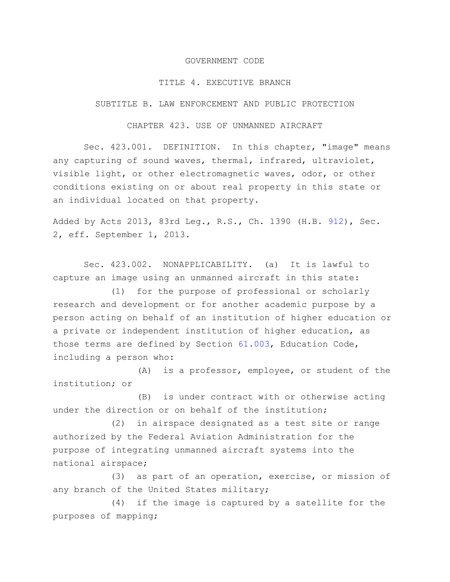## GOVERNMENT CODE

## TITLE 4. EXECUTIVE BRANCH

SUBTITLE B. LAW ENFORCEMENT AND PUBLIC PROTECTION

## CHAPTER 423. USE OF UNMANNED AIRCRAFT

Sec. 423.001. DEFINITION. In this chapter, "image" means any capturing of sound waves, thermal, infrared, ultraviolet, visible light, or other electromagnetic waves, odor, or other conditions existing on or about real property in this state or an individual located on that property.

Added by Acts 2013, 83rd Leg., R.S., Ch. 1390 (H.B. [912\)](http://www.legis.state.tx.us/tlodocs/83R/billtext/html/HB00912F.HTM), Sec. 2, eff. September 1, 2013.

Sec. 423.002. NONAPPLICABILITY. (a) It is lawful to capture an image using an unmanned aircraft in this state:

(1) for the purpose of professional or scholarly research and development or for another academic purpose by a person acting on behalf of an institution of higher education or a private or independent institution of higher education, as those terms are defined by Section [61.003,](http://www.statutes.legis.state.tx.us/GetStatute.aspx?Code=ED&Value=61.003) Education Code, including a person who:

(A) is a professor, employee, or student of the institution; or

(B) is under contract with or otherwise acting under the direction or on behalf of the institution;

(2) in airspace designated as a test site or range authorized by the Federal Aviation Administration for the purpose of integrating unmanned aircraft systems into the national airspace;

(3) as part of an operation, exercise, or mission of any branch of the United States military;

(4) if the image is captured by a satellite for the purposes of mapping;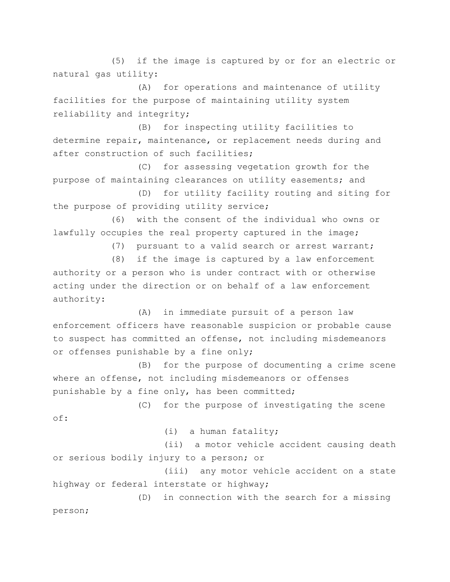(5) if the image is captured by or for an electric or natural gas utility:

(A) for operations and maintenance of utility facilities for the purpose of maintaining utility system reliability and integrity;

(B) for inspecting utility facilities to determine repair, maintenance, or replacement needs during and after construction of such facilities;

(C) for assessing vegetation growth for the purpose of maintaining clearances on utility easements; and

(D) for utility facility routing and siting for the purpose of providing utility service;

(6) with the consent of the individual who owns or lawfully occupies the real property captured in the image;

(7) pursuant to a valid search or arrest warrant;

(8) if the image is captured by a law enforcement authority or a person who is under contract with or otherwise acting under the direction or on behalf of a law enforcement authority:

(A) in immediate pursuit of a person law enforcement officers have reasonable suspicion or probable cause to suspect has committed an offense, not including misdemeanors or offenses punishable by a fine only;

(B) for the purpose of documenting a crime scene where an offense, not including misdemeanors or offenses punishable by a fine only, has been committed;

(C) for the purpose of investigating the scene of:

(i) a human fatality;

(ii) a motor vehicle accident causing death or serious bodily injury to a person; or

(iii) any motor vehicle accident on a state highway or federal interstate or highway;

(D) in connection with the search for a missing person;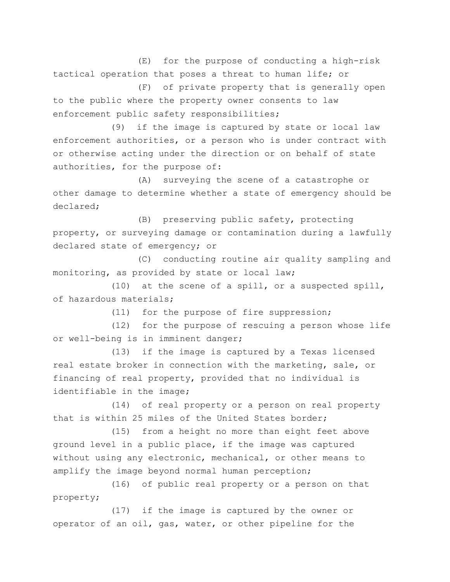(E) for the purpose of conducting a high-risk tactical operation that poses a threat to human life; or

(F) of private property that is generally open to the public where the property owner consents to law enforcement public safety responsibilities;

(9) if the image is captured by state or local law enforcement authorities, or a person who is under contract with or otherwise acting under the direction or on behalf of state authorities, for the purpose of:

(A) surveying the scene of a catastrophe or other damage to determine whether a state of emergency should be declared;

(B) preserving public safety, protecting property, or surveying damage or contamination during a lawfully declared state of emergency; or

(C) conducting routine air quality sampling and monitoring, as provided by state or local law;

(10) at the scene of a spill, or a suspected spill, of hazardous materials;

(11) for the purpose of fire suppression;

(12) for the purpose of rescuing a person whose life or well-being is in imminent danger;

(13) if the image is captured by a Texas licensed real estate broker in connection with the marketing, sale, or financing of real property, provided that no individual is identifiable in the image;

(14) of real property or a person on real property that is within 25 miles of the United States border;

(15) from a height no more than eight feet above ground level in a public place, if the image was captured without using any electronic, mechanical, or other means to amplify the image beyond normal human perception;

(16) of public real property or a person on that property;

(17) if the image is captured by the owner or operator of an oil, gas, water, or other pipeline for the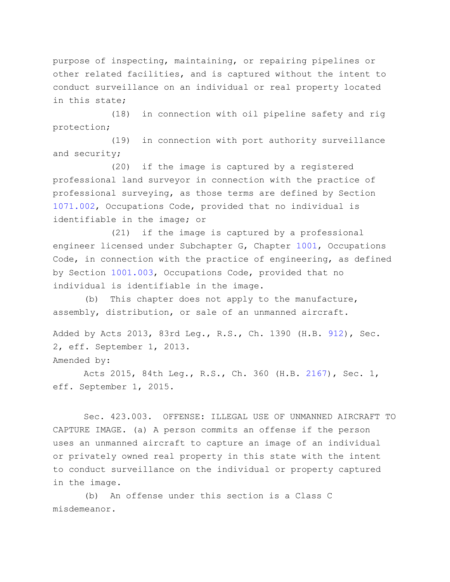purpose of inspecting, maintaining, or repairing pipelines or other related facilities, and is captured without the intent to conduct surveillance on an individual or real property located in this state;

(18) in connection with oil pipeline safety and rig protection;

(19) in connection with port authority surveillance and security;

(20) if the image is captured by a registered professional land surveyor in connection with the practice of professional surveying, as those terms are defined by Section [1071.002,](http://www.statutes.legis.state.tx.us/GetStatute.aspx?Code=OC&Value=1071.002) Occupations Code, provided that no individual is identifiable in the image; or

(21) if the image is captured by a professional engineer licensed under Subchapter G, Chapter [1001,](http://www.statutes.legis.state.tx.us/GetStatute.aspx?Code=OC&Value=1001) Occupations Code, in connection with the practice of engineering, as defined by Section [1001.003,](http://www.statutes.legis.state.tx.us/GetStatute.aspx?Code=OC&Value=1001.003) Occupations Code, provided that no individual is identifiable in the image.

(b) This chapter does not apply to the manufacture, assembly, distribution, or sale of an unmanned aircraft.

Added by Acts 2013, 83rd Leg., R.S., Ch. 1390 (H.B. [912\)](http://www.legis.state.tx.us/tlodocs/83R/billtext/html/HB00912F.HTM), Sec. 2, eff. September 1, 2013. Amended by:

Acts 2015, 84th Leg., R.S., Ch. 360 (H.B. [2167\)](http://www.legis.state.tx.us/tlodocs/84R/billtext/html/HB02167F.HTM), Sec. 1, eff. September 1, 2015.

Sec. 423.003. OFFENSE: ILLEGAL USE OF UNMANNED AIRCRAFT TO CAPTURE IMAGE. (a) A person commits an offense if the person uses an unmanned aircraft to capture an image of an individual or privately owned real property in this state with the intent to conduct surveillance on the individual or property captured in the image.

(b) An offense under this section is a Class C misdemeanor.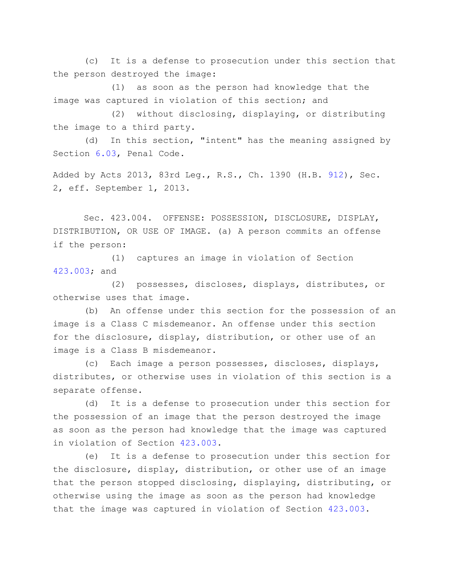(c) It is a defense to prosecution under this section that the person destroyed the image:

(1) as soon as the person had knowledge that the image was captured in violation of this section; and

(2) without disclosing, displaying, or distributing the image to a third party.

(d) In this section, "intent" has the meaning assigned by Section [6.03,](http://www.statutes.legis.state.tx.us/GetStatute.aspx?Code=PE&Value=6.03) Penal Code.

Added by Acts 2013, 83rd Leg., R.S., Ch. 1390 (H.B. [912\)](http://www.legis.state.tx.us/tlodocs/83R/billtext/html/HB00912F.HTM), Sec. 2, eff. September 1, 2013.

Sec. 423.004. OFFENSE: POSSESSION, DISCLOSURE, DISPLAY, DISTRIBUTION, OR USE OF IMAGE. (a) A person commits an offense if the person:

(1) captures an image in violation of Section [423.003;](http://www.statutes.legis.state.tx.us/GetStatute.aspx?Code=GV&Value=423.003) and

(2) possesses, discloses, displays, distributes, or otherwise uses that image.

(b) An offense under this section for the possession of an image is a Class C misdemeanor. An offense under this section for the disclosure, display, distribution, or other use of an image is a Class B misdemeanor.

(c) Each image a person possesses, discloses, displays, distributes, or otherwise uses in violation of this section is a separate offense.

(d) It is a defense to prosecution under this section for the possession of an image that the person destroyed the image as soon as the person had knowledge that the image was captured in violation of Section [423.003.](http://www.statutes.legis.state.tx.us/GetStatute.aspx?Code=GV&Value=423.003)

(e) It is a defense to prosecution under this section for the disclosure, display, distribution, or other use of an image that the person stopped disclosing, displaying, distributing, or otherwise using the image as soon as the person had knowledge that the image was captured in violation of Section [423.003.](http://www.statutes.legis.state.tx.us/GetStatute.aspx?Code=GV&Value=423.003)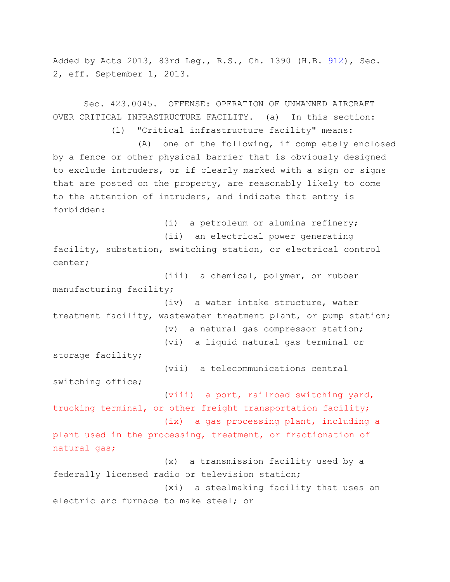Added by Acts 2013, 83rd Leg., R.S., Ch. 1390 (H.B. [912\)](http://www.legis.state.tx.us/tlodocs/83R/billtext/html/HB00912F.HTM), Sec. 2, eff. September 1, 2013.

Sec. 423.0045. OFFENSE: OPERATION OF UNMANNED AIRCRAFT

OVER CRITICAL INFRASTRUCTURE FACILITY. (a) In this section: (1) "Critical infrastructure facility" means: (A) one of the following, if completely enclosed by a fence or other physical barrier that is obviously designed to exclude intruders, or if clearly marked with a sign or signs that are posted on the property, are reasonably likely to come to the attention of intruders, and indicate that entry is forbidden: (i) a petroleum or alumina refinery; (ii) an electrical power generating facility, substation, switching station, or electrical control center; (iii) a chemical, polymer, or rubber manufacturing facility; (iv) a water intake structure, water treatment facility, wastewater treatment plant, or pump station; (v) a natural gas compressor station; (vi) a liquid natural gas terminal or storage facility; (vii) a telecommunications central switching office; (viii) a port, railroad switching yard, trucking terminal, or other freight transportation facility; (ix) a gas processing plant, including a plant used in the processing, treatment, or fractionation of natural gas; (x) a transmission facility used by a federally licensed radio or television station; (xi) a steelmaking facility that uses an electric arc furnace to make steel; or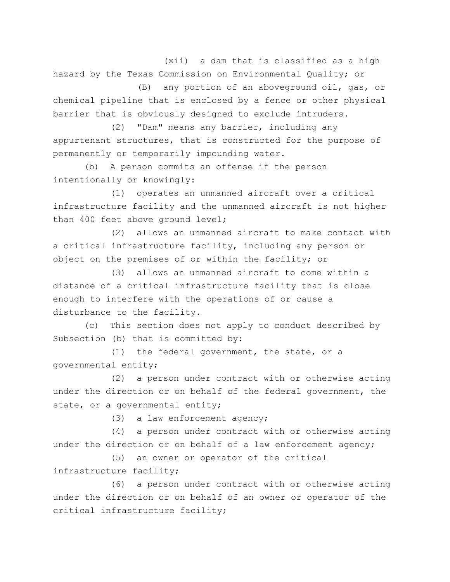(xii) a dam that is classified as a high hazard by the Texas Commission on Environmental Quality; or

(B) any portion of an aboveground oil, gas, or chemical pipeline that is enclosed by a fence or other physical barrier that is obviously designed to exclude intruders.

(2) "Dam" means any barrier, including any appurtenant structures, that is constructed for the purpose of permanently or temporarily impounding water.

(b) A person commits an offense if the person intentionally or knowingly:

(1) operates an unmanned aircraft over a critical infrastructure facility and the unmanned aircraft is not higher than 400 feet above ground level;

(2) allows an unmanned aircraft to make contact with a critical infrastructure facility, including any person or object on the premises of or within the facility; or

(3) allows an unmanned aircraft to come within a distance of a critical infrastructure facility that is close enough to interfere with the operations of or cause a disturbance to the facility.

(c) This section does not apply to conduct described by Subsection (b) that is committed by:

(1) the federal government, the state, or a governmental entity;

(2) a person under contract with or otherwise acting under the direction or on behalf of the federal government, the state, or a governmental entity;

(3) a law enforcement agency;

(4) a person under contract with or otherwise acting under the direction or on behalf of a law enforcement agency;

(5) an owner or operator of the critical infrastructure facility;

(6) a person under contract with or otherwise acting under the direction or on behalf of an owner or operator of the critical infrastructure facility;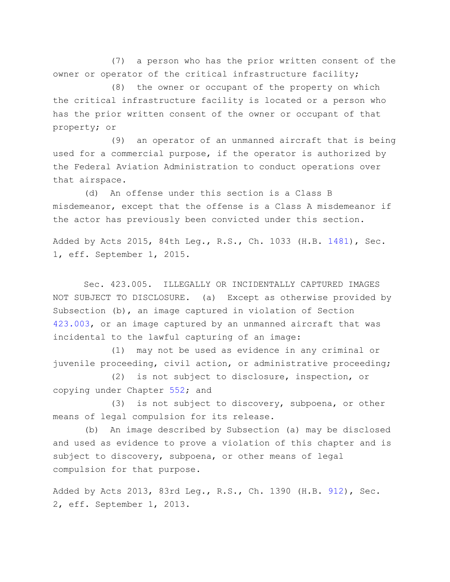(7) a person who has the prior written consent of the owner or operator of the critical infrastructure facility;

(8) the owner or occupant of the property on which the critical infrastructure facility is located or a person who has the prior written consent of the owner or occupant of that property; or

(9) an operator of an unmanned aircraft that is being used for a commercial purpose, if the operator is authorized by the Federal Aviation Administration to conduct operations over that airspace.

(d) An offense under this section is a Class B misdemeanor, except that the offense is a Class A misdemeanor if the actor has previously been convicted under this section.

Added by Acts 2015, 84th Leg., R.S., Ch. 1033 (H.B. [1481\)](http://www.legis.state.tx.us/tlodocs/84R/billtext/html/HB01481F.HTM), Sec. 1, eff. September 1, 2015.

Sec. 423.005. ILLEGALLY OR INCIDENTALLY CAPTURED IMAGES NOT SUBJECT TO DISCLOSURE. (a) Except as otherwise provided by Subsection (b), an image captured in violation of Section [423.003,](http://www.statutes.legis.state.tx.us/GetStatute.aspx?Code=GV&Value=423.003) or an image captured by an unmanned aircraft that was incidental to the lawful capturing of an image:

(1) may not be used as evidence in any criminal or juvenile proceeding, civil action, or administrative proceeding;

(2) is not subject to disclosure, inspection, or copying under Chapter [552;](http://www.statutes.legis.state.tx.us/GetStatute.aspx?Code=GV&Value=552) and

(3) is not subject to discovery, subpoena, or other means of legal compulsion for its release.

(b) An image described by Subsection (a) may be disclosed and used as evidence to prove a violation of this chapter and is subject to discovery, subpoena, or other means of legal compulsion for that purpose.

Added by Acts 2013, 83rd Leg., R.S., Ch. 1390 (H.B. [912\)](http://www.legis.state.tx.us/tlodocs/83R/billtext/html/HB00912F.HTM), Sec. 2, eff. September 1, 2013.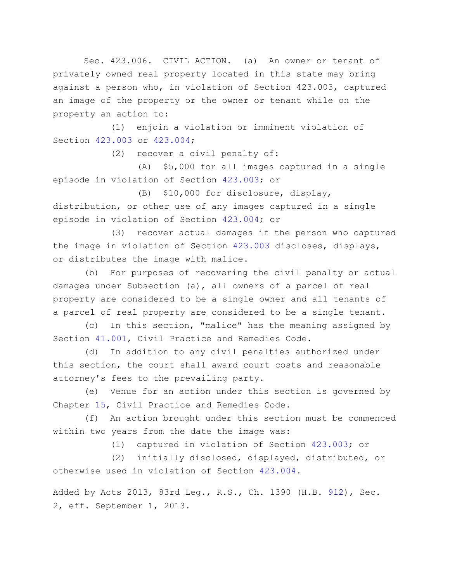Sec. 423.006. CIVIL ACTION. (a) An owner or tenant of privately owned real property located in this state may bring against a person who, in violation of Section 423.003, captured an image of the property or the owner or tenant while on the property an action to:

(1) enjoin a violation or imminent violation of Section [423.003](http://www.statutes.legis.state.tx.us/GetStatute.aspx?Code=GV&Value=423.003) or [423.004;](http://www.statutes.legis.state.tx.us/GetStatute.aspx?Code=GV&Value=423.004)

(2) recover a civil penalty of:

(A) \$5,000 for all images captured in a single episode in violation of Section [423.003;](http://www.statutes.legis.state.tx.us/GetStatute.aspx?Code=GV&Value=423.003) or

(B) \$10,000 for disclosure, display, distribution, or other use of any images captured in a single episode in violation of Section [423.004;](http://www.statutes.legis.state.tx.us/GetStatute.aspx?Code=GV&Value=423.004) or

(3) recover actual damages if the person who captured the image in violation of Section [423.003](http://www.statutes.legis.state.tx.us/GetStatute.aspx?Code=GV&Value=423.003) discloses, displays, or distributes the image with malice.

(b) For purposes of recovering the civil penalty or actual damages under Subsection (a), all owners of a parcel of real property are considered to be a single owner and all tenants of a parcel of real property are considered to be a single tenant.

(c) In this section, "malice" has the meaning assigned by Section [41.001,](http://www.statutes.legis.state.tx.us/GetStatute.aspx?Code=CP&Value=41.001) Civil Practice and Remedies Code.

(d) In addition to any civil penalties authorized under this section, the court shall award court costs and reasonable attorney's fees to the prevailing party.

(e) Venue for an action under this section is governed by Chapter [15,](http://www.statutes.legis.state.tx.us/GetStatute.aspx?Code=CP&Value=15) Civil Practice and Remedies Code.

(f) An action brought under this section must be commenced within two years from the date the image was:

(1) captured in violation of Section [423.003;](http://www.statutes.legis.state.tx.us/GetStatute.aspx?Code=GV&Value=423.003) or

(2) initially disclosed, displayed, distributed, or otherwise used in violation of Section [423.004.](http://www.statutes.legis.state.tx.us/GetStatute.aspx?Code=GV&Value=423.004)

Added by Acts 2013, 83rd Leg., R.S., Ch. 1390 (H.B. [912\)](http://www.legis.state.tx.us/tlodocs/83R/billtext/html/HB00912F.HTM), Sec. 2, eff. September 1, 2013.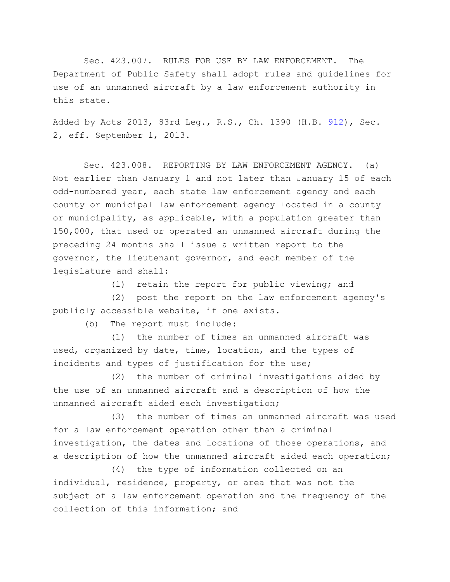Sec. 423.007. RULES FOR USE BY LAW ENFORCEMENT. The Department of Public Safety shall adopt rules and guidelines for use of an unmanned aircraft by a law enforcement authority in this state.

Added by Acts 2013, 83rd Leg., R.S., Ch. 1390 (H.B. [912\)](http://www.legis.state.tx.us/tlodocs/83R/billtext/html/HB00912F.HTM), Sec. 2, eff. September 1, 2013.

Sec. 423.008. REPORTING BY LAW ENFORCEMENT AGENCY. (a) Not earlier than January 1 and not later than January 15 of each odd-numbered year, each state law enforcement agency and each county or municipal law enforcement agency located in a county or municipality, as applicable, with a population greater than 150,000, that used or operated an unmanned aircraft during the preceding 24 months shall issue a written report to the governor, the lieutenant governor, and each member of the legislature and shall:

(1) retain the report for public viewing; and

(2) post the report on the law enforcement agency's publicly accessible website, if one exists.

(b) The report must include:

(1) the number of times an unmanned aircraft was used, organized by date, time, location, and the types of incidents and types of justification for the use;

(2) the number of criminal investigations aided by the use of an unmanned aircraft and a description of how the unmanned aircraft aided each investigation;

(3) the number of times an unmanned aircraft was used for a law enforcement operation other than a criminal investigation, the dates and locations of those operations, and a description of how the unmanned aircraft aided each operation;

(4) the type of information collected on an individual, residence, property, or area that was not the subject of a law enforcement operation and the frequency of the collection of this information; and